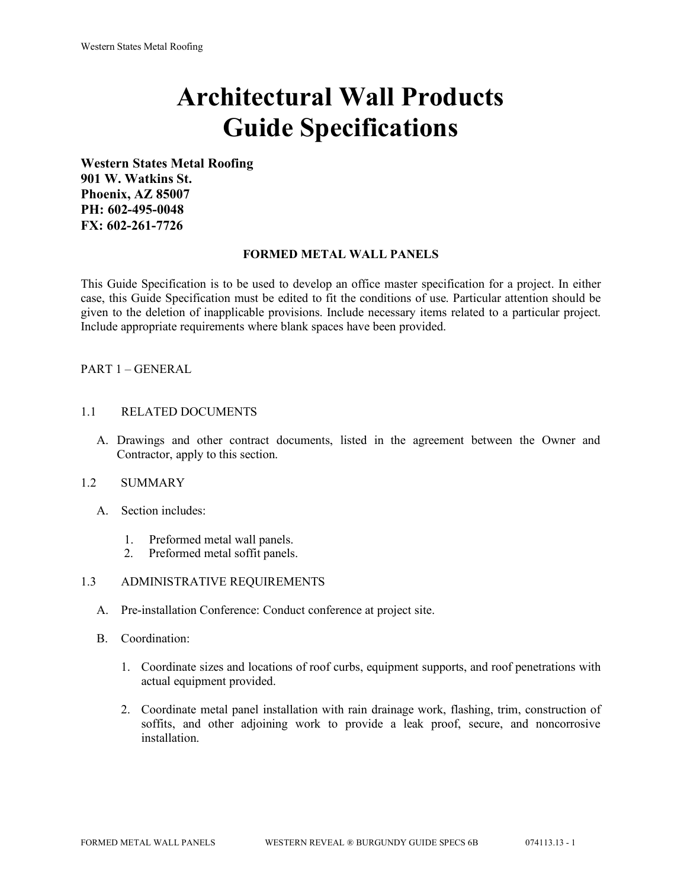# **Architectural Wall Products Guide Specifications**

**Western States Metal Roofing 901 W. Watkins St. Phoenix, AZ 85007 PH: 602-495-0048 FX: 602-261-7726**

#### **FORMED METAL WALL PANELS**

This Guide Specification is to be used to develop an office master specification for a project. In either case, this Guide Specification must be edited to fit the conditions of use. Particular attention should be given to the deletion of inapplicable provisions. Include necessary items related to a particular project. Include appropriate requirements where blank spaces have been provided.

#### PART 1 – GENERAL

#### 1.1 RELATED DOCUMENTS

A. Drawings and other contract documents, listed in the agreement between the Owner and Contractor, apply to this section.

#### 1.2 SUMMARY

- A. Section includes:
	- 1. Preformed metal wall panels.
	- 2. Preformed metal soffit panels.

## 1.3 ADMINISTRATIVE REQUIREMENTS

- A. Pre-installation Conference: Conduct conference at project site.
- B. Coordination:
	- 1. Coordinate sizes and locations of roof curbs, equipment supports, and roof penetrations with actual equipment provided.
	- 2. Coordinate metal panel installation with rain drainage work, flashing, trim, construction of soffits, and other adjoining work to provide a leak proof, secure, and noncorrosive installation.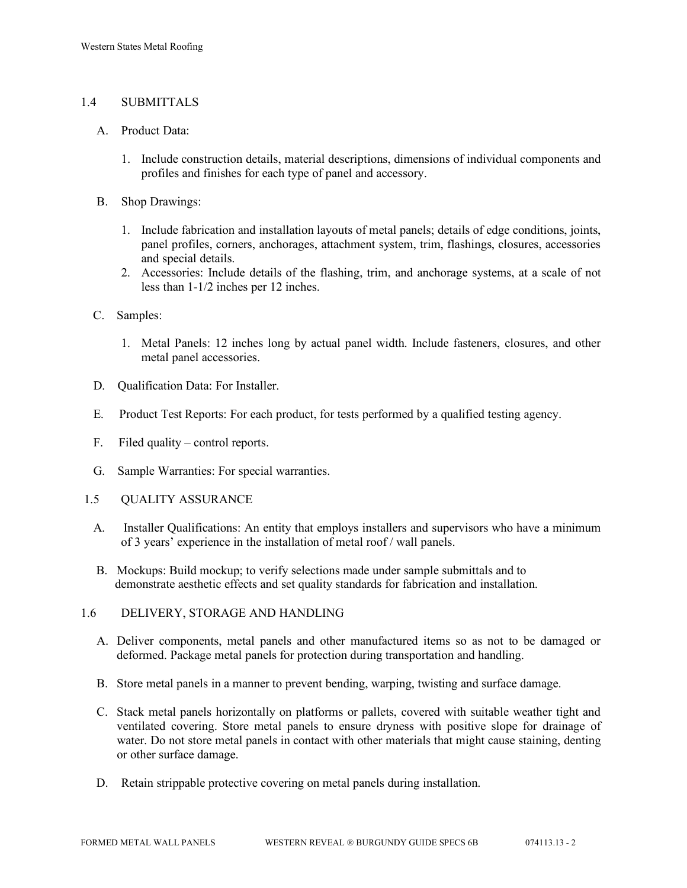# 1.4 SUBMITTALS

#### A. Product Data:

- 1. Include construction details, material descriptions, dimensions of individual components and profiles and finishes for each type of panel and accessory.
- B. Shop Drawings:
	- 1. Include fabrication and installation layouts of metal panels; details of edge conditions, joints, panel profiles, corners, anchorages, attachment system, trim, flashings, closures, accessories and special details.
	- 2. Accessories: Include details of the flashing, trim, and anchorage systems, at a scale of not less than 1-1/2 inches per 12 inches.
- C. Samples:
	- 1. Metal Panels: 12 inches long by actual panel width. Include fasteners, closures, and other metal panel accessories.
- D. Qualification Data: For Installer.
- E. Product Test Reports: For each product, for tests performed by a qualified testing agency.
- F. Filed quality control reports.
- G. Sample Warranties: For special warranties.
- 1.5 QUALITY ASSURANCE
	- A. Installer Qualifications: An entity that employs installers and supervisors who have a minimum of 3 years' experience in the installation of metal roof / wall panels.
	- B. Mockups: Build mockup; to verify selections made under sample submittals and to demonstrate aesthetic effects and set quality standards for fabrication and installation.
- 1.6 DELIVERY, STORAGE AND HANDLING
	- A. Deliver components, metal panels and other manufactured items so as not to be damaged or deformed. Package metal panels for protection during transportation and handling.
	- B. Store metal panels in a manner to prevent bending, warping, twisting and surface damage.
	- C. Stack metal panels horizontally on platforms or pallets, covered with suitable weather tight and ventilated covering. Store metal panels to ensure dryness with positive slope for drainage of water. Do not store metal panels in contact with other materials that might cause staining, denting or other surface damage.
	- D. Retain strippable protective covering on metal panels during installation.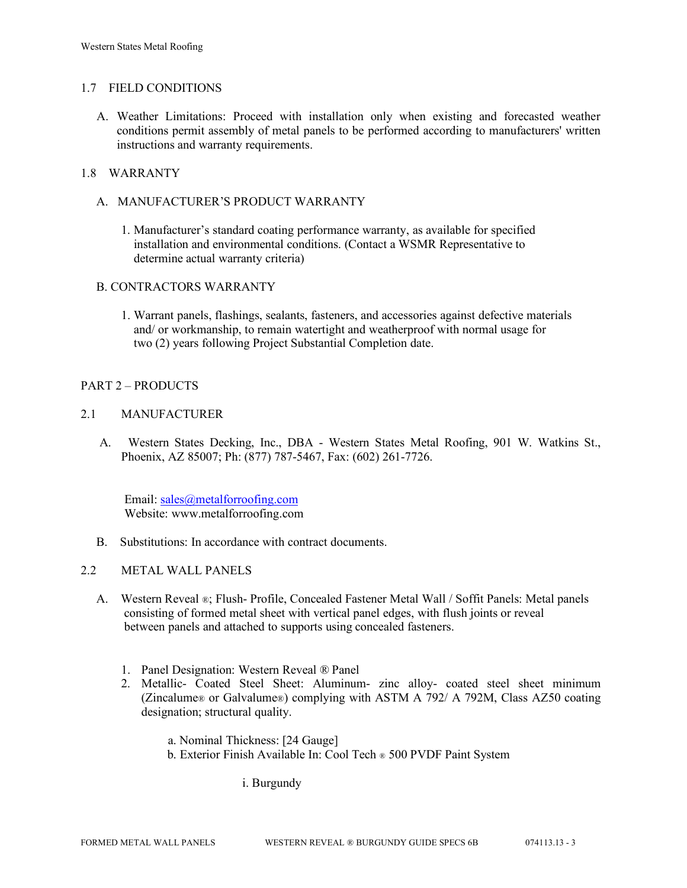## 1.7 FIELD CONDITIONS

A. Weather Limitations: Proceed with installation only when existing and forecasted weather conditions permit assembly of metal panels to be performed according to manufacturers' written instructions and warranty requirements.

## 1.8 WARRANTY

- A. MANUFACTURER'S PRODUCT WARRANTY
	- 1. Manufacturer's standard coating performance warranty, as available for specified installation and environmental conditions. (Contact a WSMR Representative to determine actual warranty criteria)

## B. CONTRACTORS WARRANTY

1. Warrant panels, flashings, sealants, fasteners, and accessories against defective materials and/ or workmanship, to remain watertight and weatherproof with normal usage for two (2) years following Project Substantial Completion date.

## PART 2 – PRODUCTS

## 2.1 MANUFACTURER

 A. Western States Decking, Inc., DBA - Western States Metal Roofing, 901 W. Watkins St., Phoenix, AZ 85007; Ph: (877) 787-5467, Fax: (602) 261-7726.

Email: [sales@metalforroofing.com](mailto:sales@metalforroofing.com) Website: www.metalforroofing.com

- B. Substitutions: In accordance with contract documents.
- 2.2 METAL WALL PANELS
	- A. Western Reveal ®; Flush- Profile, Concealed Fastener Metal Wall / Soffit Panels: Metal panels consisting of formed metal sheet with vertical panel edges, with flush joints or reveal between panels and attached to supports using concealed fasteners.
		- 1. Panel Designation: Western Reveal ® Panel
		- 2. Metallic- Coated Steel Sheet: Aluminum- zinc alloy- coated steel sheet minimum (Zincalume® or Galvalume®) complying with ASTM A 792/ A 792M, Class AZ50 coating designation; structural quality.

 a. Nominal Thickness: [24 Gauge] b. Exterior Finish Available In: Cool Tech ® 500 PVDF Paint System

i. Burgundy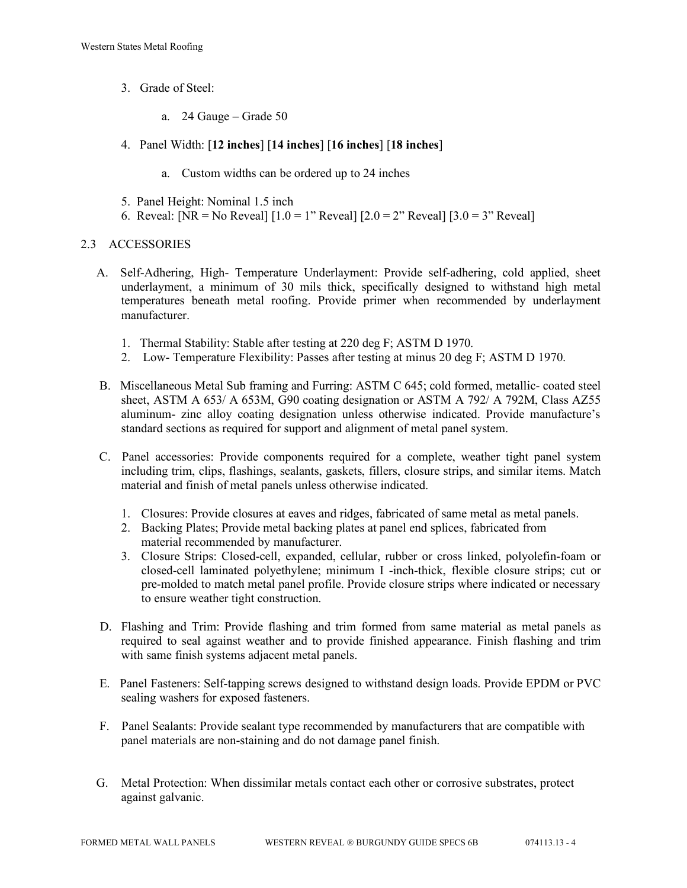- 3. Grade of Steel:
	- a. 24 Gauge Grade 50
- 4. Panel Width: [**12 inches**] [**14 inches**] [**16 inches**] [**18 inches**]
	- a. Custom widths can be ordered up to 24 inches
- 5. Panel Height: Nominal 1.5 inch
- 6. Reveal: [NR = No Reveal]  $[1.0 = 1$ " Reveal]  $[2.0 = 2$ " Reveal]  $[3.0 = 3$ " Reveal]

## 2.3 ACCESSORIES

- A. Self-Adhering, High- Temperature Underlayment: Provide self-adhering, cold applied, sheet underlayment, a minimum of 30 mils thick, specifically designed to withstand high metal temperatures beneath metal roofing. Provide primer when recommended by underlayment manufacturer.
	- 1. Thermal Stability: Stable after testing at 220 deg F; ASTM D 1970.
	- 2. Low- Temperature Flexibility: Passes after testing at minus 20 deg F; ASTM D 1970.
- B. Miscellaneous Metal Sub framing and Furring: ASTM C 645; cold formed, metallic- coated steel sheet, ASTM A 653/ A 653M, G90 coating designation or ASTM A 792/ A 792M, Class AZ55 aluminum- zinc alloy coating designation unless otherwise indicated. Provide manufacture's standard sections as required for support and alignment of metal panel system.
- C. Panel accessories: Provide components required for a complete, weather tight panel system including trim, clips, flashings, sealants, gaskets, fillers, closure strips, and similar items. Match material and finish of metal panels unless otherwise indicated.
	- 1. Closures: Provide closures at eaves and ridges, fabricated of same metal as metal panels.
	- 2. Backing Plates; Provide metal backing plates at panel end splices, fabricated from material recommended by manufacturer.
	- 3. Closure Strips: Closed-cell, expanded, cellular, rubber or cross linked, polyolefin-foam or closed-cell laminated polyethylene; minimum I -inch-thick, flexible closure strips; cut or pre-molded to match metal panel profile. Provide closure strips where indicated or necessary to ensure weather tight construction.
- D. Flashing and Trim: Provide flashing and trim formed from same material as metal panels as required to seal against weather and to provide finished appearance. Finish flashing and trim with same finish systems adjacent metal panels.
- E. Panel Fasteners: Self-tapping screws designed to withstand design loads. Provide EPDM or PVC sealing washers for exposed fasteners.
- F. Panel Sealants: Provide sealant type recommended by manufacturers that are compatible with panel materials are non-staining and do not damage panel finish.
- G. Metal Protection: When dissimilar metals contact each other or corrosive substrates, protect against galvanic.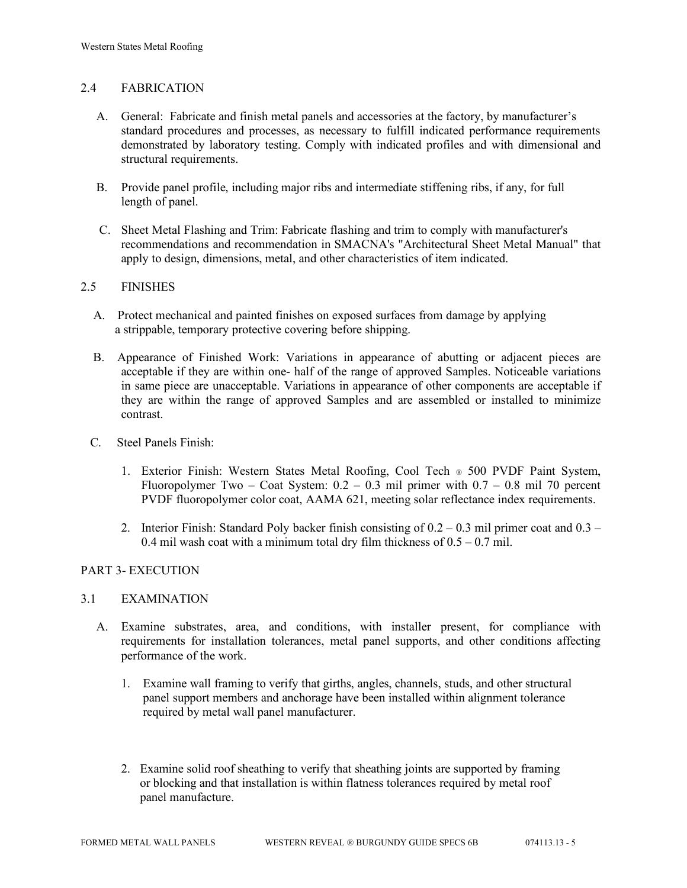## 2.4 FABRICATION

- A. General: Fabricate and finish metal panels and accessories at the factory, by manufacturer's standard procedures and processes, as necessary to fulfill indicated performance requirements demonstrated by laboratory testing. Comply with indicated profiles and with dimensional and structural requirements.
- B. Provide panel profile, including major ribs and intermediate stiffening ribs, if any, for full length of panel.
- C. Sheet Metal Flashing and Trim: Fabricate flashing and trim to comply with manufacturer's recommendations and recommendation in SMACNA's "Architectural Sheet Metal Manual" that apply to design, dimensions, metal, and other characteristics of item indicated.

## 2.5 FINISHES

- A. Protect mechanical and painted finishes on exposed surfaces from damage by applying a strippable, temporary protective covering before shipping.
- B. Appearance of Finished Work: Variations in appearance of abutting or adjacent pieces are acceptable if they are within one- half of the range of approved Samples. Noticeable variations in same piece are unacceptable. Variations in appearance of other components are acceptable if they are within the range of approved Samples and are assembled or installed to minimize contrast.
- C. Steel Panels Finish:
	- 1. Exterior Finish: Western States Metal Roofing, Cool Tech ® 500 PVDF Paint System, Fluoropolymer Two – Coat System:  $0.2 - 0.3$  mil primer with  $0.7 - 0.8$  mil 70 percent PVDF fluoropolymer color coat, AAMA 621, meeting solar reflectance index requirements.
	- 2. Interior Finish: Standard Poly backer finish consisting of  $0.2 0.3$  mil primer coat and  $0.3 -$ 0.4 mil wash coat with a minimum total dry film thickness of  $0.5 - 0.7$  mil.

## PART 3- EXECUTION

#### 3.1 EXAMINATION

- A. Examine substrates, area, and conditions, with installer present, for compliance with requirements for installation tolerances, metal panel supports, and other conditions affecting performance of the work.
	- 1. Examine wall framing to verify that girths, angles, channels, studs, and other structural panel support members and anchorage have been installed within alignment tolerance required by metal wall panel manufacturer.
	- 2. Examine solid roof sheathing to verify that sheathing joints are supported by framing or blocking and that installation is within flatness tolerances required by metal roof panel manufacture.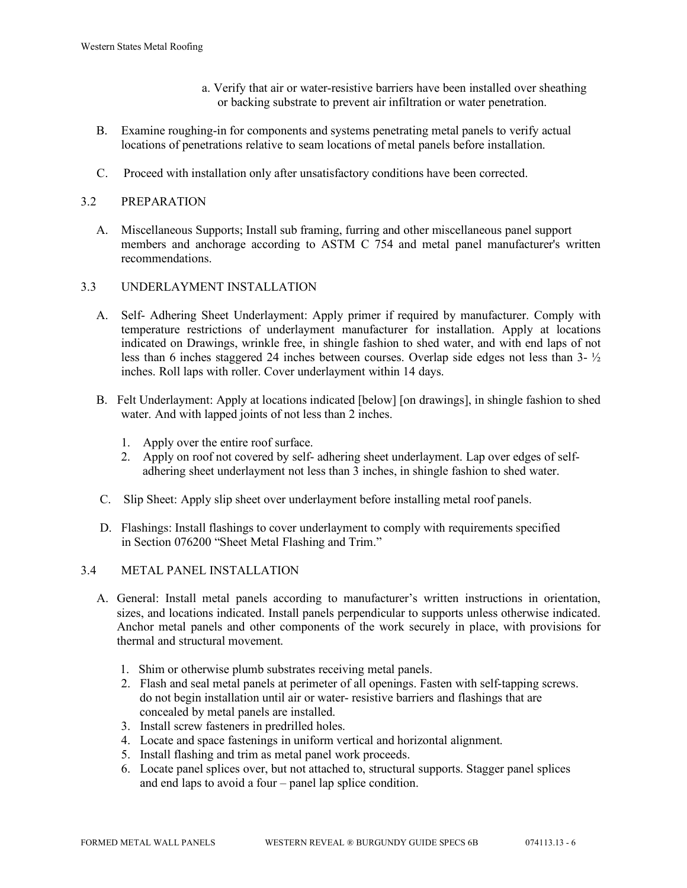- a. Verify that air or water-resistive barriers have been installed over sheathing or backing substrate to prevent air infiltration or water penetration.
- B. Examine roughing-in for components and systems penetrating metal panels to verify actual locations of penetrations relative to seam locations of metal panels before installation.
- C. Proceed with installation only after unsatisfactory conditions have been corrected.

# 3.2 PREPARATION

 A. Miscellaneous Supports; Install sub framing, furring and other miscellaneous panel support members and anchorage according to ASTM C 754 and metal panel manufacturer's written recommendations.

# 3.3 UNDERLAYMENT INSTALLATION

- A. Self- Adhering Sheet Underlayment: Apply primer if required by manufacturer. Comply with temperature restrictions of underlayment manufacturer for installation. Apply at locations indicated on Drawings, wrinkle free, in shingle fashion to shed water, and with end laps of not less than 6 inches staggered 24 inches between courses. Overlap side edges not less than 3- ½ inches. Roll laps with roller. Cover underlayment within 14 days.
- B. Felt Underlayment: Apply at locations indicated [below] [on drawings], in shingle fashion to shed water. And with lapped joints of not less than 2 inches.
	- 1. Apply over the entire roof surface.
	- 2. Apply on roof not covered by self- adhering sheet underlayment. Lap over edges of self adhering sheet underlayment not less than 3 inches, in shingle fashion to shed water.
- C. Slip Sheet: Apply slip sheet over underlayment before installing metal roof panels.
- D. Flashings: Install flashings to cover underlayment to comply with requirements specified in Section 076200 "Sheet Metal Flashing and Trim."

## 3.4 METAL PANEL INSTALLATION

- A. General: Install metal panels according to manufacturer's written instructions in orientation, sizes, and locations indicated. Install panels perpendicular to supports unless otherwise indicated. Anchor metal panels and other components of the work securely in place, with provisions for thermal and structural movement.
	- 1. Shim or otherwise plumb substrates receiving metal panels.
	- 2. Flash and seal metal panels at perimeter of all openings. Fasten with self-tapping screws. do not begin installation until air or water- resistive barriers and flashings that are concealed by metal panels are installed.
	- 3. Install screw fasteners in predrilled holes.
	- 4. Locate and space fastenings in uniform vertical and horizontal alignment.
	- 5. Install flashing and trim as metal panel work proceeds.
	- 6. Locate panel splices over, but not attached to, structural supports. Stagger panel splices and end laps to avoid a four – panel lap splice condition.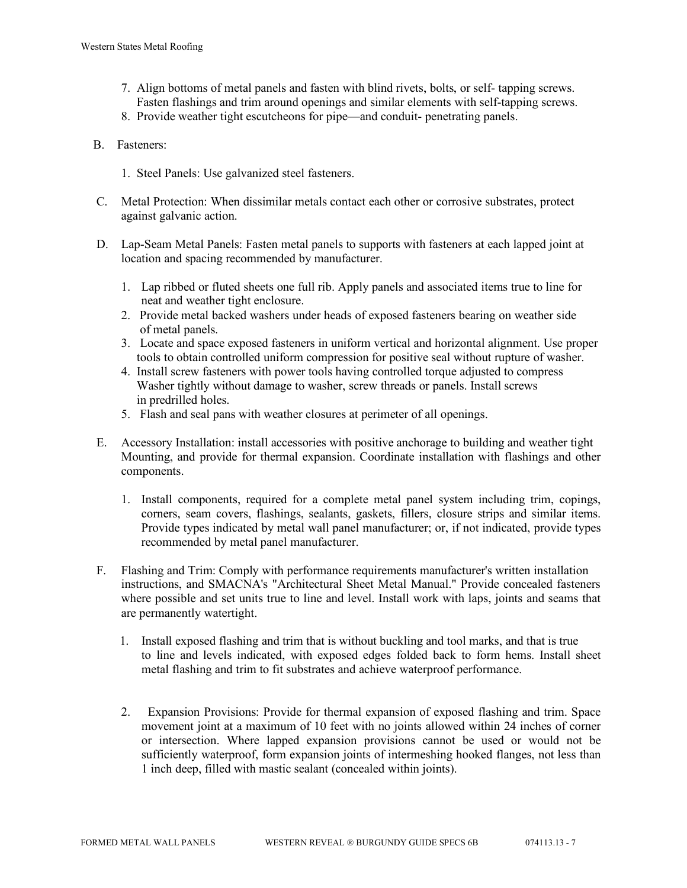- 7. Align bottoms of metal panels and fasten with blind rivets, bolts, or self- tapping screws. Fasten flashings and trim around openings and similar elements with self-tapping screws.
- 8. Provide weather tight escutcheons for pipe—and conduit- penetrating panels.
- B. Fasteners:
	- 1. Steel Panels: Use galvanized steel fasteners.
- C. Metal Protection: When dissimilar metals contact each other or corrosive substrates, protect against galvanic action.
- D. Lap-Seam Metal Panels: Fasten metal panels to supports with fasteners at each lapped joint at location and spacing recommended by manufacturer.
	- 1. Lap ribbed or fluted sheets one full rib. Apply panels and associated items true to line for neat and weather tight enclosure.
	- 2. Provide metal backed washers under heads of exposed fasteners bearing on weather side of metal panels.
	- 3. Locate and space exposed fasteners in uniform vertical and horizontal alignment. Use proper tools to obtain controlled uniform compression for positive seal without rupture of washer.
	- 4. Install screw fasteners with power tools having controlled torque adjusted to compress Washer tightly without damage to washer, screw threads or panels. Install screws in predrilled holes.
	- 5. Flash and seal pans with weather closures at perimeter of all openings.
- E. Accessory Installation: install accessories with positive anchorage to building and weather tight Mounting, and provide for thermal expansion. Coordinate installation with flashings and other components.
	- 1. Install components, required for a complete metal panel system including trim, copings, corners, seam covers, flashings, sealants, gaskets, fillers, closure strips and similar items. Provide types indicated by metal wall panel manufacturer; or, if not indicated, provide types recommended by metal panel manufacturer.
- F. Flashing and Trim: Comply with performance requirements manufacturer's written installation instructions, and SMACNA's "Architectural Sheet Metal Manual." Provide concealed fasteners where possible and set units true to line and level. Install work with laps, joints and seams that are permanently watertight.
	- 1. Install exposed flashing and trim that is without buckling and tool marks, and that is true to line and levels indicated, with exposed edges folded back to form hems. Install sheet metal flashing and trim to fit substrates and achieve waterproof performance.
	- 2. Expansion Provisions: Provide for thermal expansion of exposed flashing and trim. Space movement joint at a maximum of 10 feet with no joints allowed within 24 inches of corner or intersection. Where lapped expansion provisions cannot be used or would not be sufficiently waterproof, form expansion joints of intermeshing hooked flanges, not less than 1 inch deep, filled with mastic sealant (concealed within joints).